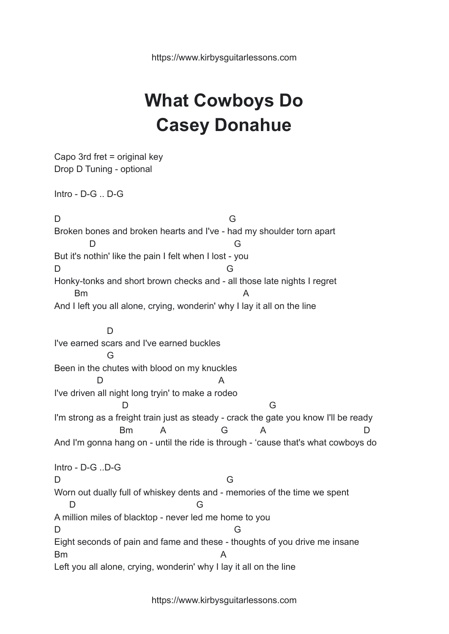https://www.kirbysguitarlessons.com

## **What Cowboys Do Casey Donahue**

Capo 3rd fret = original key Drop D Tuning - optional Intro - D-G .. D-G D G Broken bones and broken hearts and I've - had my shoulder torn apart D G But it's nothin' like the pain I felt when I lost - you D G Honky-tonks and short brown checks and - all those late nights I regret Bm A And I left you all alone, crying, wonderin' why I lay it all on the line D I've earned scars and I've earned buckles G Been in the chutes with blood on my knuckles D A I've driven all night long tryin' to make a rodeo D G I'm strong as a freight train just as steady - crack the gate you know I'll be ready Bm A G A D And I'm gonna hang on - until the ride is through - 'cause that's what cowboys do Intro - D-G ..D-G D G Worn out dually full of whiskey dents and - memories of the time we spent D G A million miles of blacktop - never led me home to you D G Eight seconds of pain and fame and these - thoughts of you drive me insane Bm A Left you all alone, crying, wonderin' why I lay it all on the line

https://www.kirbysguitarlessons.com